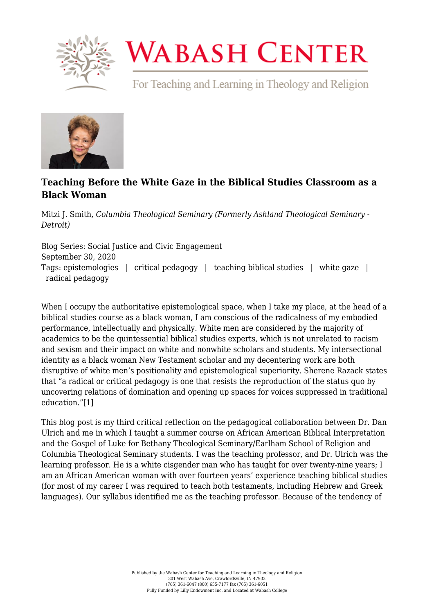

## **WABASH CENTER**

For Teaching and Learning in Theology and Religion



## **[Teaching Before the White Gaze in the Biblical Studies Classroom as a](https://www.wabashcenter.wabash.edu/2020/09/teaching-before-the-white-gaze-in-the-biblical-studies-classroom-as-a-black-woman/) [Black Woman](https://www.wabashcenter.wabash.edu/2020/09/teaching-before-the-white-gaze-in-the-biblical-studies-classroom-as-a-black-woman/)**

Mitzi J. Smith, *Columbia Theological Seminary (Formerly Ashland Theological Seminary - Detroit)*

Blog Series: Social Justice and Civic Engagement September 30, 2020 Tags: epistemologies | critical pedagogy | teaching biblical studies | white gaze | radical pedagogy

When I occupy the authoritative epistemological space, when I take my place, at the head of a biblical studies course as a black woman, I am conscious of the radicalness of my embodied performance, intellectually and physically. White men are considered by the majority of academics to be the quintessential biblical studies experts, which is not unrelated to racism and sexism and their impact on white and nonwhite scholars and students. My intersectional identity as a black woman New Testament scholar and my decentering work are both disruptive of white men's positionality and epistemological superiority. Sherene Razack states that "a radical or critical pedagogy is one that resists the reproduction of the status quo by uncovering relations of domination and opening up spaces for voices suppressed in traditional education.["\[1\]](#page-2-0)

<span id="page-0-0"></span>This blog post is my third critical reflection on the pedagogical collaboration between Dr. Dan Ulrich and me in which I taught a summer course on African American Biblical Interpretation and the Gospel of Luke for Bethany Theological Seminary/Earlham School of Religion and Columbia Theological Seminary students. I was the teaching professor, and Dr. Ulrich was the learning professor. He is a white cisgender man who has taught for over twenty-nine years; I am an African American woman with over fourteen years' experience teaching biblical studies (for most of my career I was required to teach both testaments, including Hebrew and Greek languages). Our syllabus identified me as the teaching professor. Because of the tendency of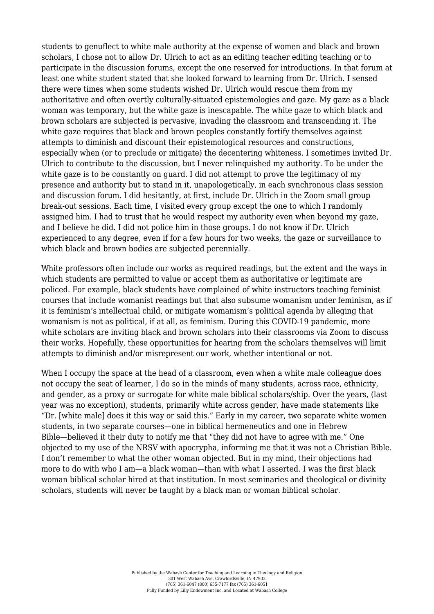students to genuflect to white male authority at the expense of women and black and brown scholars, I chose not to allow Dr. Ulrich to act as an editing teacher editing teaching or to participate in the discussion forums, except the one reserved for introductions. In that forum at least one white student stated that she looked forward to learning from Dr. Ulrich. I sensed there were times when some students wished Dr. Ulrich would rescue them from my authoritative and often overtly culturally-situated epistemologies and gaze. My gaze as a black woman was temporary, but the white gaze is inescapable. The white gaze to which black and brown scholars are subjected is pervasive, invading the classroom and transcending it. The white gaze requires that black and brown peoples constantly fortify themselves against attempts to diminish and discount their epistemological resources and constructions, especially when (or to preclude or mitigate) the decentering whiteness. I sometimes invited Dr. Ulrich to contribute to the discussion, but I never relinquished my authority. To be under the white gaze is to be constantly on guard. I did not attempt to prove the legitimacy of my presence and authority but to stand in it, unapologetically, in each synchronous class session and discussion forum. I did hesitantly, at first, include Dr. Ulrich in the Zoom small group break-out sessions. Each time, I visited every group except the one to which I randomly assigned him. I had to trust that he would respect my authority even when beyond my gaze, and I believe he did. I did not police him in those groups. I do not know if Dr. Ulrich experienced to any degree, even if for a few hours for two weeks, the gaze or surveillance to which black and brown bodies are subjected perennially.

White professors often include our works as required readings, but the extent and the ways in which students are permitted to value or accept them as authoritative or legitimate are policed. For example, black students have complained of white instructors teaching feminist courses that include womanist readings but that also subsume womanism under feminism, as if it is feminism's intellectual child, or mitigate womanism's political agenda by alleging that womanism is not as political, if at all, as feminism. During this COVID-19 pandemic, more white scholars are inviting black and brown scholars into their classrooms via Zoom to discuss their works. Hopefully, these opportunities for hearing from the scholars themselves will limit attempts to diminish and/or misrepresent our work, whether intentional or not.

When I occupy the space at the head of a classroom, even when a white male colleague does not occupy the seat of learner, I do so in the minds of many students, across race, ethnicity, and gender, as a proxy or surrogate for white male biblical scholars/ship. Over the years, (last year was no exception), students, primarily white across gender, have made statements like "Dr. [white male] does it this way or said this." Early in my career, two separate white women students, in two separate courses—one in biblical hermeneutics and one in Hebrew Bible—believed it their duty to notify me that "they did not have to agree with me." One objected to my use of the NRSV with apocrypha, informing me that it was not a Christian Bible. I don't remember to what the other woman objected. But in my mind, their objections had more to do with who I am—a black woman—than with what I asserted. I was the first black woman biblical scholar hired at that institution. In most seminaries and theological or divinity scholars, students will never be taught by a black man or woman biblical scholar.